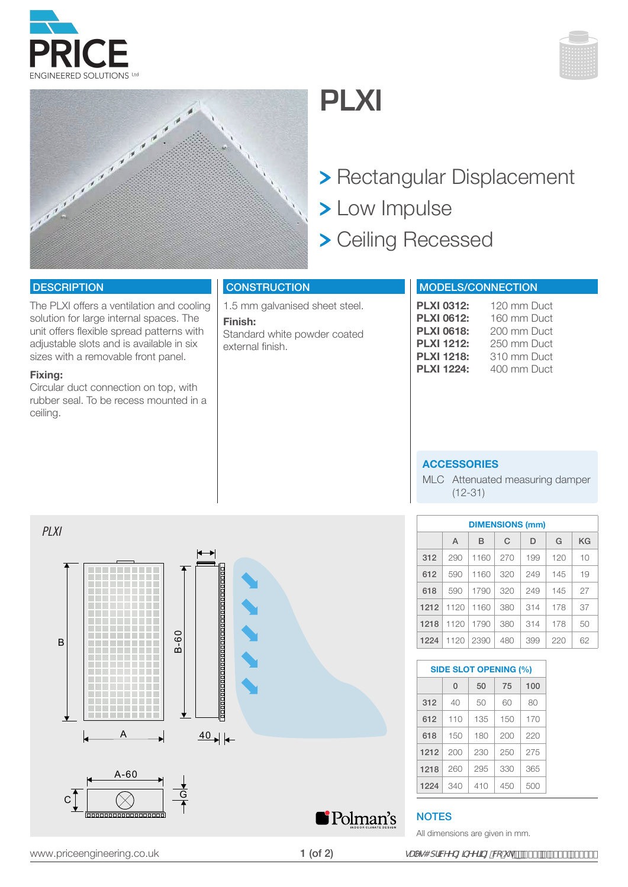



## **ACCESSORIES**

MLC Attenuated measuring damper (12-31)

| <b>DIMENSIONS (mm)</b> |      |      |     |     |     |    |
|------------------------|------|------|-----|-----|-----|----|
|                        | A    | B    | C   | D   | G   | ΚG |
| 312                    | 290  | 1160 | 270 | 199 | 120 | 10 |
| 612                    | 590  | 1160 | 320 | 249 | 145 | 19 |
| 618                    | 590  | 1790 | 320 | 249 | 145 | 27 |
| 1212                   | 1120 | 1160 | 380 | 314 | 178 | 37 |
| 1218                   | 1120 | 1790 | 380 | 314 | 178 | 50 |
| 1224                   | 1120 | 2390 | 480 | 399 | 220 | 62 |

**SIDE SLOT OPENING (%)**

 $312$  40 50 60 80 612 110 135 150 170 618 150 180 200 220 1212 200 230 250 275 1218 260 295 330 365 1224 340 410 450 500

 $0 \mid 50 \mid 75 \mid 100$ 



MODELS/CONNECTION

The PLXI offers a ventilation and cooling solution for large internal spaces. The unit offers flexible spread patterns with adjustable slots and is available in six sizes with a removable front panel.

### **Fixing:**

**DESCRIPTION** 

Circular duct connection on top, with rubber seal. To be recess mounted in a ceiling.

### **CONSTRUCTION**

1.5 mm galvanised sheet steel.

**Finish:**  Standard white powder coated external finish.

- > Rectangular Displacement
- > Low Impulse
- > Ceiling Recessed

# **PLXI**







1 (of 2)